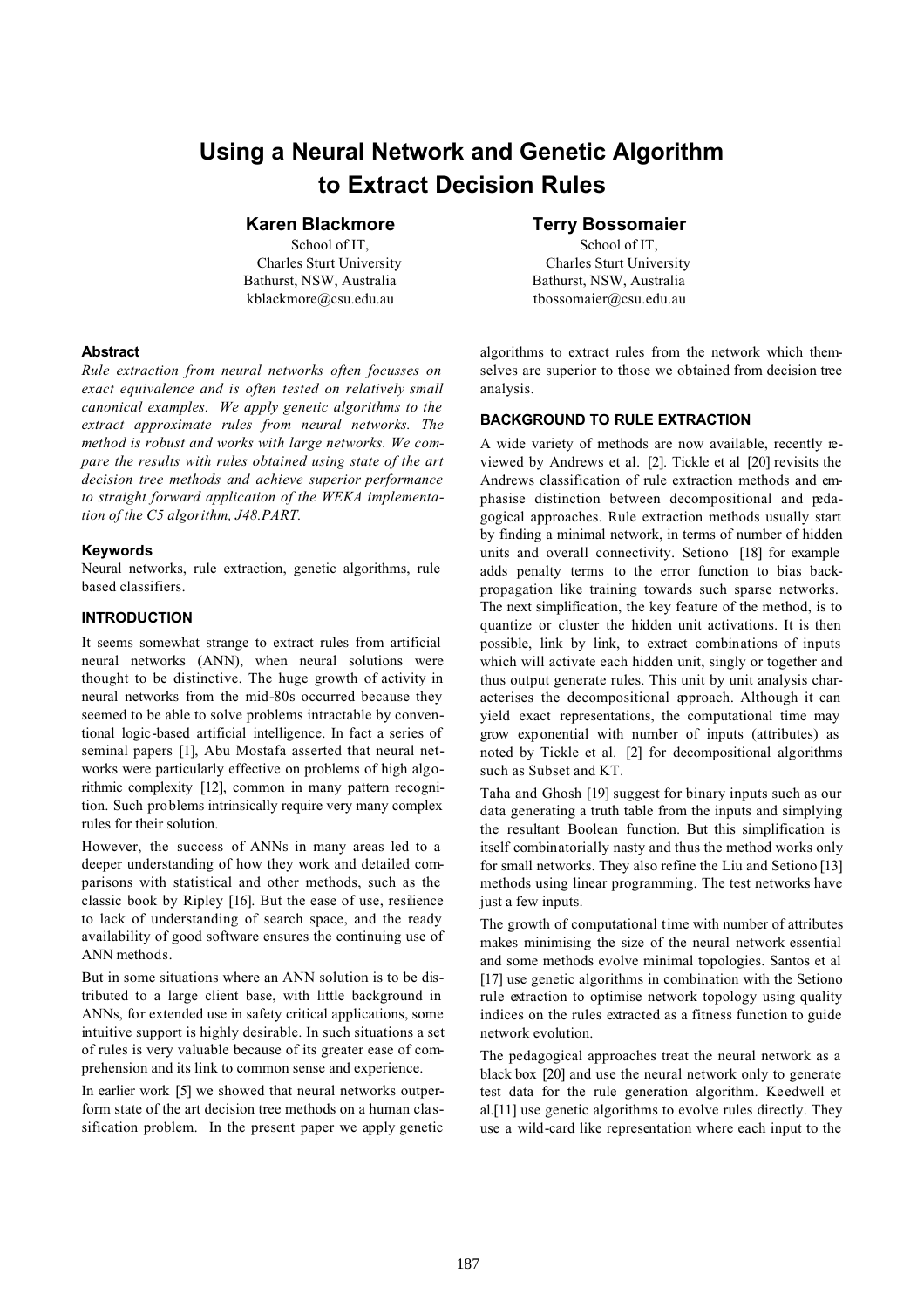# **Using a Neural Network and Genetic Algorithm to Extract Decision Rules**

## **Karen Blackmore**

School of IT, Charles Sturt University Bathurst, NSW, Australia kblackmore@csu.edu.au

#### **Abstract**

*Rule extraction from neural networks often focusses on exact equivalence and is often tested on relatively small canonical examples. We apply genetic algorithms to the extract approximate rules from neural networks. The method is robust and works with large networks. We compare the results with rules obtained using state of the art decision tree methods and achieve superior performance to straight forward application of the WEKA implementation of the C5 algorithm, J48.PART.*

## **Keywords**

Neural networks, rule extraction, genetic algorithms, rule based classifiers.

## **INTRODUCTION**

It seems somewhat strange to extract rules from artificial neural networks (ANN), when neural solutions were thought to be distinctive. The huge growth of activity in neural networks from the mid-80s occurred because they seemed to be able to solve problems intractable by conventional logic-based artificial intelligence. In fact a series of seminal papers [1], Abu Mostafa asserted that neural networks were particularly effective on problems of high algorithmic complexity [12], common in many pattern recognition. Such problems intrinsically require very many complex rules for their solution.

However, the success of ANNs in many areas led to a deeper understanding of how they work and detailed comparisons with statistical and other methods, such as the classic book by Ripley [16]. But the ease of use, resilience to lack of understanding of search space, and the ready availability of good software ensures the continuing use of ANN methods.

But in some situations where an ANN solution is to be distributed to a large client base, with little background in ANNs, for extended use in safety critical applications, some intuitive support is highly desirable. In such situations a set of rules is very valuable because of its greater ease of comprehension and its link to common sense and experience.

In earlier work [5] we showed that neural networks outperform state of the art decision tree methods on a human classification problem. In the present paper we apply genetic

## **Terry Bossomaier**

School of IT, Charles Sturt University Bathurst, NSW, Australia tbossomaier@csu.edu.au

algorithms to extract rules from the network which themselves are superior to those we obtained from decision tree analysis.

## **BACKGROUND TO RULE EXTRACTION**

A wide variety of methods are now available, recently reviewed by Andrews et al. [2]. Tickle et al [20] revisits the Andrews classification of rule extraction methods and emphasise distinction between decompositional and pedagogical approaches. Rule extraction methods usually start by finding a minimal network, in terms of number of hidden units and overall connectivity. Setiono [18] for example adds penalty terms to the error function to bias backpropagation like training towards such sparse networks. The next simplification, the key feature of the method, is to quantize or cluster the hidden unit activations. It is then possible, link by link, to extract combinations of inputs which will activate each hidden unit, singly or together and thus output generate rules. This unit by unit analysis characterises the decompositional approach. Although it can yield exact representations, the computational time may grow exp onential with number of inputs (attributes) as noted by Tickle et al. [2] for decompositional algorithms such as Subset and KT.

Taha and Ghosh [19] suggest for binary inputs such as our data generating a truth table from the inputs and simplying the resultant Boolean function. But this simplification is itself combinatorially nasty and thus the method works only for small networks. They also refine the Liu and Setiono [13] methods using linear programming. The test networks have just a few inputs.

The growth of computational time with number of attributes makes minimising the size of the neural network essential and some methods evolve minimal topologies. Santos et al [17] use genetic algorithms in combination with the Setiono rule extraction to optimise network topology using quality indices on the rules extracted as a fitness function to guide network evolution.

The pedagogical approaches treat the neural network as a black box [20] and use the neural network only to generate test data for the rule generation algorithm. Keedwell et al.[11] use genetic algorithms to evolve rules directly. They use a wild-card like representation where each input to the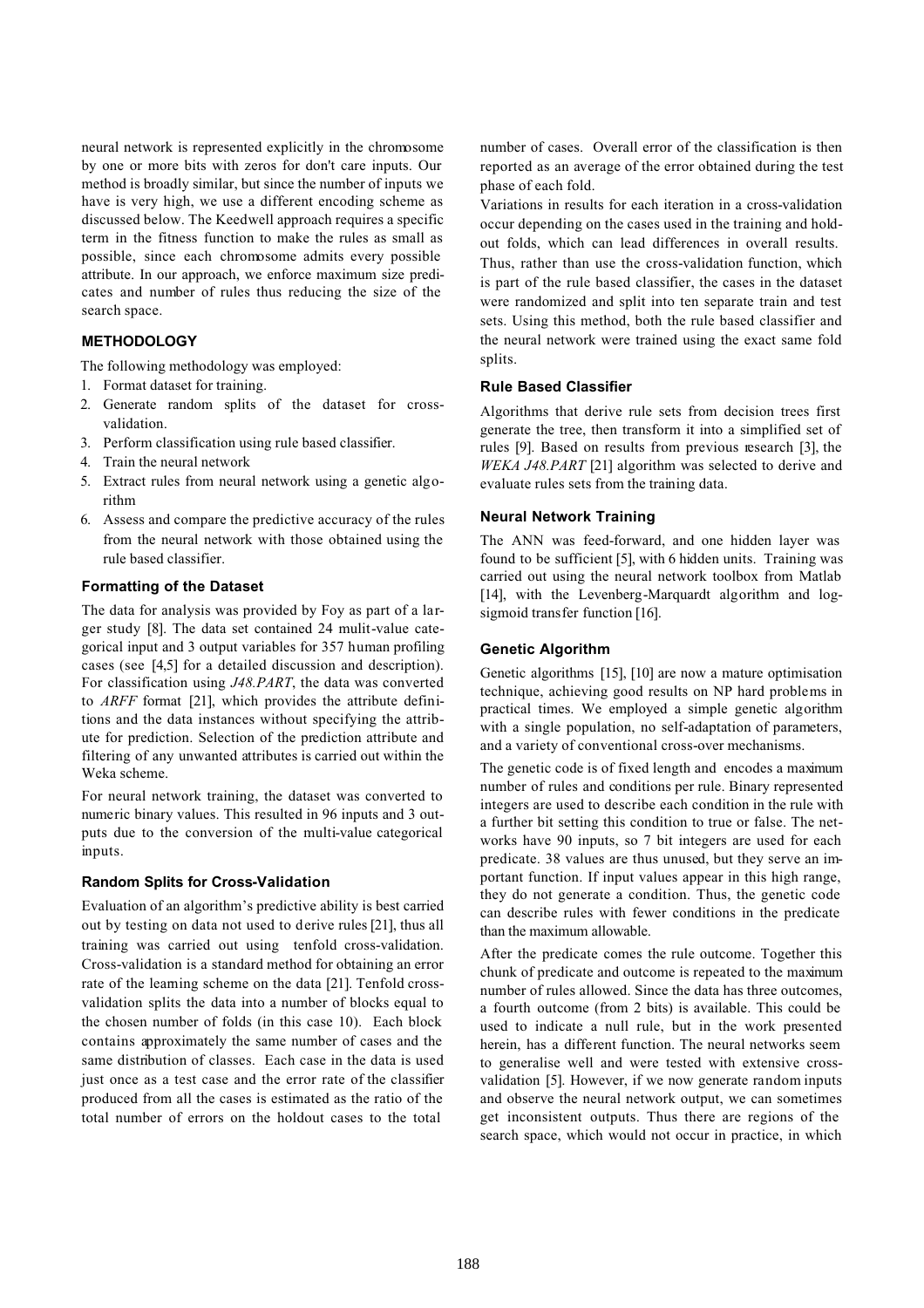neural network is represented explicitly in the chromosome by one or more bits with zeros for don't care inputs. Our method is broadly similar, but since the number of inputs we have is very high, we use a different encoding scheme as discussed below. The Keedwell approach requires a specific term in the fitness function to make the rules as small as possible, since each chromosome admits every possible attribute. In our approach, we enforce maximum size predicates and number of rules thus reducing the size of the search space.

## **METHODOLOGY**

The following methodology was employed:

- 1. Format dataset for training.
- 2. Generate random splits of the dataset for crossvalidation.
- 3. Perform classification using rule based classifier.
- 4. Train the neural network
- 5. Extract rules from neural network using a genetic algorithm
- 6. Assess and compare the predictive accuracy of the rules from the neural network with those obtained using the rule based classifier.

#### **Formatting of the Dataset**

The data for analysis was provided by Foy as part of a larger study [8]. The data set contained 24 mulit-value categorical input and 3 output variables for 357 human profiling cases (see [4,5] for a detailed discussion and description). For classification using *J48.PART*, the data was converted to *ARFF* format [21], which provides the attribute definitions and the data instances without specifying the attribute for prediction. Selection of the prediction attribute and filtering of any unwanted attributes is carried out within the Weka scheme.

For neural network training, the dataset was converted to numeric binary values. This resulted in 96 inputs and 3 outputs due to the conversion of the multi-value categorical inputs.

#### **Random Splits for Cross-Validation**

Evaluation of an algorithm's predictive ability is best carried out by testing on data not used to derive rules [21], thus all training was carried out using tenfold cross-validation. Cross-validation is a standard method for obtaining an error rate of the learning scheme on the data [21]. Tenfold crossvalidation splits the data into a number of blocks equal to the chosen number of folds (in this case 10). Each block contains approximately the same number of cases and the same distribution of classes. Each case in the data is used just once as a test case and the error rate of the classifier produced from all the cases is estimated as the ratio of the total number of errors on the holdout cases to the total

number of cases. Overall error of the classification is then reported as an average of the error obtained during the test phase of each fold.

Variations in results for each iteration in a cross-validation occur depending on the cases used in the training and holdout folds, which can lead differences in overall results. Thus, rather than use the cross-validation function, which is part of the rule based classifier, the cases in the dataset were randomized and split into ten separate train and test sets. Using this method, both the rule based classifier and the neural network were trained using the exact same fold splits.

#### **Rule Based Classifier**

Algorithms that derive rule sets from decision trees first generate the tree, then transform it into a simplified set of rules [9]. Based on results from previous research [3], the *WEKA J48.PART* [21] algorithm was selected to derive and evaluate rules sets from the training data.

#### **Neural Network Training**

The ANN was feed-forward, and one hidden layer was found to be sufficient [5], with 6 hidden units. Training was carried out using the neural network toolbox from Matlab [14], with the Levenberg-Marquardt algorithm and logsigmoid transfer function [16].

#### **Genetic Algorithm**

Genetic algorithms [15], [10] are now a mature optimisation technique, achieving good results on NP hard problems in practical times. We employed a simple genetic algorithm with a single population, no self-adaptation of parameters, and a variety of conventional cross-over mechanisms.

The genetic code is of fixed length and encodes a maximum number of rules and conditions per rule. Binary represented integers are used to describe each condition in the rule with a further bit setting this condition to true or false. The networks have 90 inputs, so 7 bit integers are used for each predicate. 38 values are thus unused, but they serve an important function. If input values appear in this high range, they do not generate a condition. Thus, the genetic code can describe rules with fewer conditions in the predicate than the maximum allowable.

After the predicate comes the rule outcome. Together this chunk of predicate and outcome is repeated to the maximum number of rules allowed. Since the data has three outcomes, a fourth outcome (from 2 bits) is available. This could be used to indicate a null rule, but in the work presented herein, has a different function. The neural networks seem to generalise well and were tested with extensive crossvalidation [5]. However, if we now generate random inputs and observe the neural network output, we can sometimes get inconsistent outputs. Thus there are regions of the search space, which would not occur in practice, in which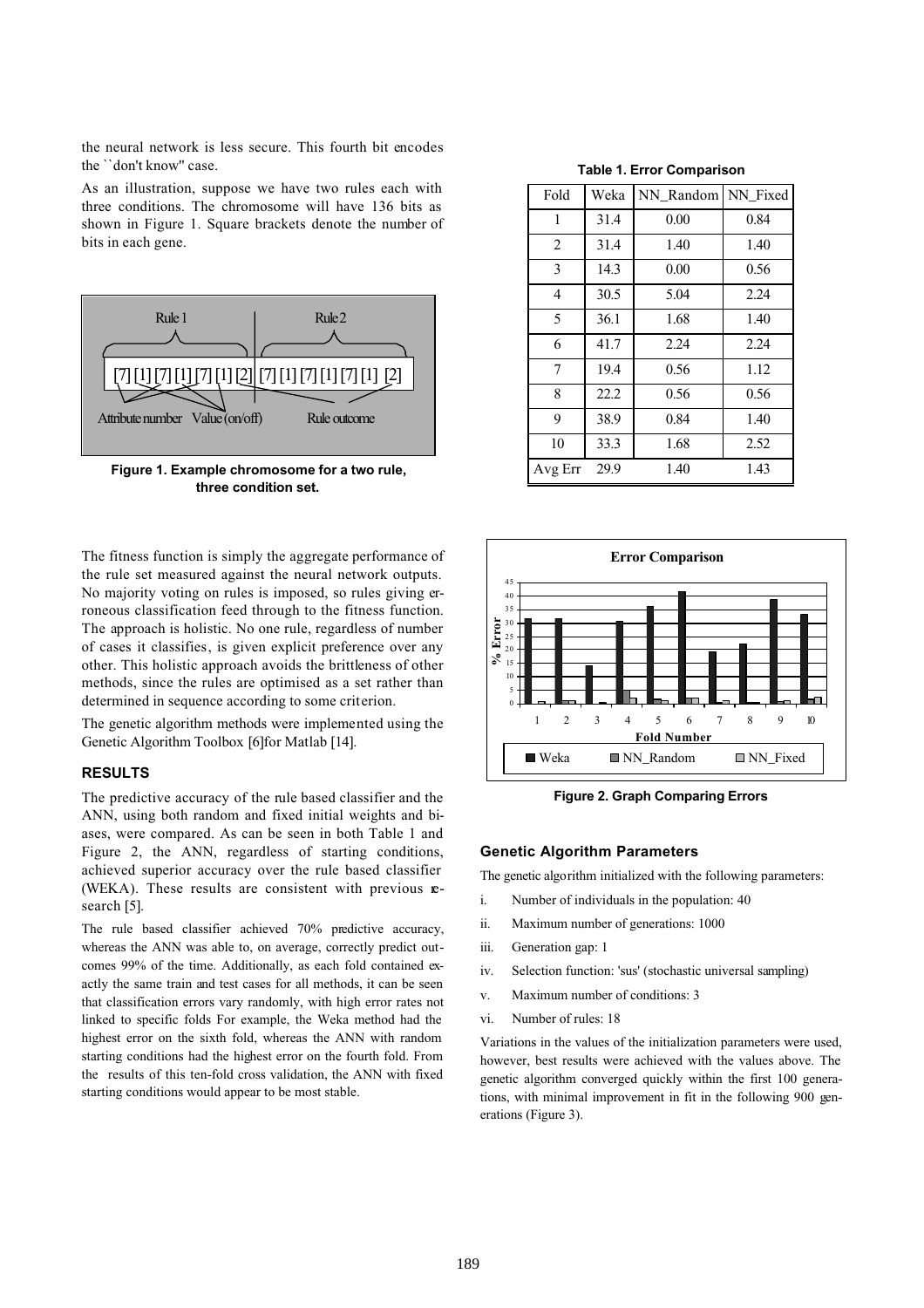the neural network is less secure. This fourth bit encodes the ``don't know'' case.

As an illustration, suppose we have two rules each with three conditions. The chromosome will have 136 bits as shown in Figure 1. Square brackets denote the number of bits in each gene.



**Figure 1. Example chromosome for a two rule, three condition set.**

The fitness function is simply the aggregate performance of the rule set measured against the neural network outputs. No majority voting on rules is imposed, so rules giving erroneous classification feed through to the fitness function. The approach is holistic. No one rule, regardless of number of cases it classifies, is given explicit preference over any other. This holistic approach avoids the brittleness of other methods, since the rules are optimised as a set rather than determined in sequence according to some criterion.

The genetic algorithm methods were implemented using the Genetic Algorithm Toolbox [6]for Matlab [14].

## **RESULTS**

The predictive accuracy of the rule based classifier and the ANN, using both random and fixed initial weights and biases, were compared. As can be seen in both Table 1 and Figure 2, the ANN, regardless of starting conditions, achieved superior accuracy over the rule based classifier (WEKA). These results are consistent with previous **e**search [5].

The rule based classifier achieved 70% predictive accuracy, whereas the ANN was able to, on average, correctly predict outcomes 99% of the time. Additionally, as each fold contained exactly the same train and test cases for all methods, it can be seen that classification errors vary randomly, with high error rates not linked to specific folds For example, the Weka method had the highest error on the sixth fold, whereas the ANN with random starting conditions had the highest error on the fourth fold. From the results of this ten-fold cross validation, the ANN with fixed starting conditions would appear to be most stable.

**Table 1. Error Comparison**

| Fold    | Weka | NN Random | NN_Fixed |
|---------|------|-----------|----------|
| 1       | 31.4 | 0.00      | 0.84     |
| 2       | 31.4 | 1.40      | 1.40     |
| 3       | 14.3 | 0.00      | 0.56     |
| 4       | 30.5 | 5.04      | 2.24     |
| 5       | 36.1 | 1.68      | 1.40     |
| 6       | 41.7 | 2.24      | 2.24     |
| 7       | 19.4 | 0.56      | 1.12     |
| 8       | 22.2 | 0.56      | 0.56     |
| 9       | 38.9 | 0.84      | 1.40     |
| 10      | 33.3 | 1.68      | 2.52     |
| Avg Err | 29.9 | 1.40      | 1.43     |



**Figure 2. Graph Comparing Errors**

#### **Genetic Algorithm Parameters**

The genetic algorithm initialized with the following parameters:

- i. Number of individuals in the population: 40
- ii. Maximum number of generations: 1000
- iii. Generation gap: 1
- iv. Selection function: 'sus' (stochastic universal sampling)
- v. Maximum number of conditions: 3
- vi. Number of rules: 18

Variations in the values of the initialization parameters were used, however, best results were achieved with the values above. The genetic algorithm converged quickly within the first 100 generations, with minimal improvement in fit in the following 900 generations (Figure 3).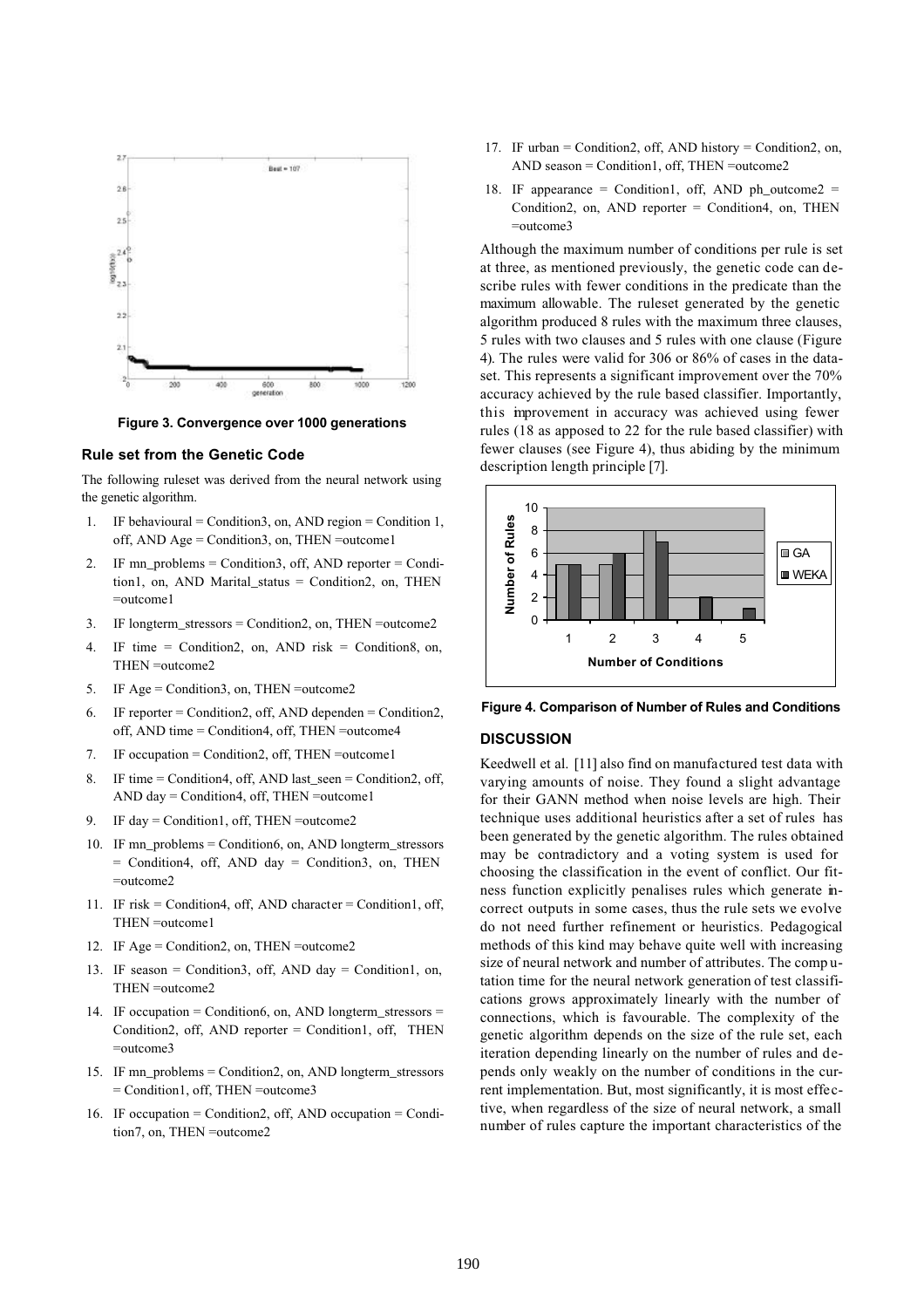

**Figure 3. Convergence over 1000 generations**

### **Rule set from the Genetic Code**

The following ruleset was derived from the neural network using the genetic algorithm.

- 1. IF behavioural = Condition3, on, AND region = Condition 1, off, AND Age = Condition3, on, THEN =outcome1
- 2. IF mn\_problems = Condition3, off, AND reporter = Condition1, on, AND Marital\_status = Condition2, on, THEN =outcome1
- 3. IF longterm\_stressors = Condition2, on, THEN =outcome2
- 4. IF time = Condition2, on, AND risk = Condition8, on, THEN =outcome2
- 5. IF Age = Condition3, on, THEN =outcome2
- 6. IF reporter = Condition2, off, AND dependen = Condition2, off, AND time = Condition4, off, THEN =outcome4
- 7. IF occupation = Condition2, off, THEN =outcome1
- 8. IF time = Condition4, off, AND last\_seen = Condition2, off, AND day = Condition4, off, THEN =outcome1
- 9. IF day = Condition1, off, THEN =outcome2
- 10. IF mn\_problems = Condition6, on, AND longterm\_stressors = Condition4, off, AND day = Condition3, on, THEN =outcome2
- 11. IF risk = Condition4, off, AND character = Condition1, off, THEN =outcome1
- 12. IF Age = Condition2, on, THEN =outcome2
- 13. IF season = Condition3, off, AND day = Condition1, on, THEN =outcome2
- 14. IF occupation = Condition6, on, AND longterm\_stressors = Condition2, off, AND reporter = Condition1, off, THEN =outcome3
- 15. IF mn\_problems = Condition2, on, AND longterm\_stressors = Condition1, off, THEN =outcome3
- 16. IF occupation = Condition2, off, AND occupation = Condition7, on, THEN =outcome2
- 17. IF urban = Condition2, off, AND history = Condition2, on, AND season = Condition1, off, THEN =outcome2
- 18. IF appearance = Condition1, off, AND ph\_outcome2 = Condition2, on, AND reporter = Condition4, on, THEN =outcome3

Although the maximum number of conditions per rule is set at three, as mentioned previously, the genetic code can describe rules with fewer conditions in the predicate than the maximum allowable. The ruleset generated by the genetic algorithm produced 8 rules with the maximum three clauses, 5 rules with two clauses and 5 rules with one clause (Figure 4). The rules were valid for 306 or 86% of cases in the dataset. This represents a significant improvement over the 70% accuracy achieved by the rule based classifier. Importantly, this improvement in accuracy was achieved using fewer rules (18 as apposed to 22 for the rule based classifier) with fewer clauses (see Figure 4), thus abiding by the minimum description length principle [7].



**Figure 4. Comparison of Number of Rules and Conditions**

#### **DISCUSSION**

Keedwell et al. [11] also find on manufactured test data with varying amounts of noise. They found a slight advantage for their GANN method when noise levels are high. Their technique uses additional heuristics after a set of rules has been generated by the genetic algorithm. The rules obtained may be contradictory and a voting system is used for choosing the classification in the event of conflict. Our fitness function explicitly penalises rules which generate incorrect outputs in some cases, thus the rule sets we evolve do not need further refinement or heuristics. Pedagogical methods of this kind may behave quite well with increasing size of neural network and number of attributes. The comp utation time for the neural network generation of test classifications grows approximately linearly with the number of connections, which is favourable. The complexity of the genetic algorithm depends on the size of the rule set, each iteration depending linearly on the number of rules and depends only weakly on the number of conditions in the current implementation. But, most significantly, it is most effective, when regardless of the size of neural network, a small number of rules capture the important characteristics of the